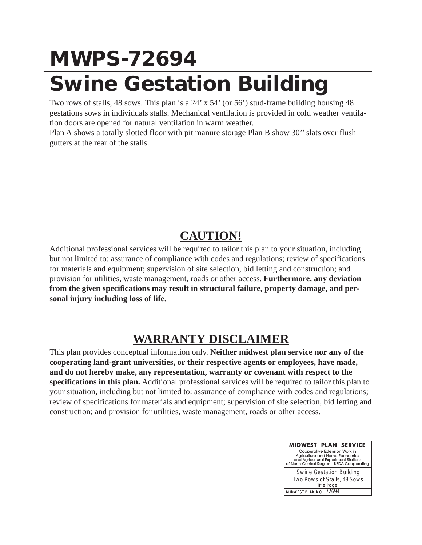# **MWPS-72694 Swine Gestation Building**

Two rows of stalls, 48 sows. This plan is a 24' x 54' (or 56') stud-frame building housing 48 gestations sows in individuals stalls. Mechanical ventilation is provided in cold weather ventilation doors are opened for natural ventilation in warm weather.

Plan A shows a totally slotted floor with pit manure storage Plan B show 30'' slats over flush gutters at the rear of the stalls.

### **CAUTION!**

Additional professional services will be required to tailor this plan to your situation, including but not limited to: assurance of compliance with codes and regulations; review of specifications for materials and equipment; supervision of site selection, bid letting and construction; and provision for utilities, waste management, roads or other access. **Furthermore, any deviation from the given specifications may result in structural failure, property damage, and personal injury including loss of life.**

## **WARRANTY DISCLAIMER**

This plan provides conceptual information only. **Neither midwest plan service nor any of the cooperating land-grant universities, or their respective agents or employees, have made, and do not hereby make, any representation, warranty or covenant with respect to the specifications in this plan.** Additional professional services will be required to tailor this plan to your situation, including but not limited to: assurance of compliance with codes and regulations; review of specifications for materials and equipment; supervision of site selection, bid letting and construction; and provision for utilities, waste management, roads or other access.

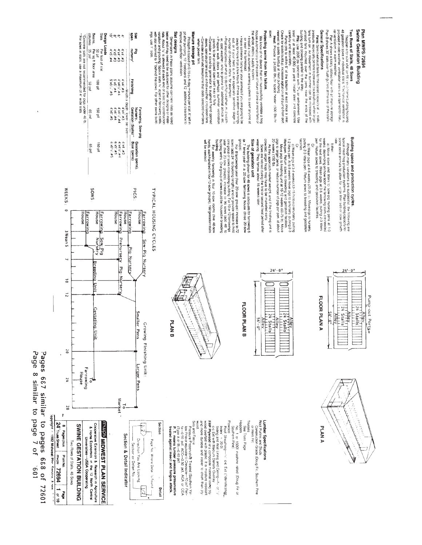#### **Fans**. Sectorations lists for the state capacity at  $n$  state of the state capacity at  $n$  is sufficient on the  $n$  for movement in summer can be increased with the bulk of and buy multiple and buy multiple and the set o **Two Rows of Stalis, 48 Sows**<br>**49 geaples controlled State Controlled State Substructure Controlled Processing**<br>48 geaples sows in rich/ridual state V. Contained vertication is Plan MWPS-72694<br>Swine Gestation Building Drimarisms in these plane assume concrete siate as leady<br>between may need to be adjusted for their designs or materials.<br>Tals. About V' is allowed at each envior a sist for construction<br>these About V' is allowed at each en ral ventilation in warm weether:<br>Plan A shows a tolally slotted froor with pit manure storage<br>Plan B shows 30° slats over flush gutters at the rear of the stalls. Have someone tasty-sil your annuals if you are going to be<br>therefore the construction of the state of the state of the state of the state of the state of the state of the state of the state of the state of the state of th We know of no device that will successfully ventiate a hog<br>the properties in the case of fature of one or more fats of<br>the seal devating in the case of fature of one or more fats of<br>the state four automatic warming system General Specifications Protecting swine from fan failure. Siat designs Pridephi is based on 0.15 cu fuday manure per stall, 6" left in<br>pit after pumping, 10" freeboard, and 12" additional clearance to<br>improve underfloor venillation. Span<br>Span  $\vec{Q}$  or  $\vec{Q}$   $\vec{Q}$ Manure storage pit when power fails Plg<br>nursery' **Finishing**

#### columns Design Loads "Concrete slats are not recommended for pigs under 40 lb.<br>"For sows in stalls, use a maximum of 4" wide slats. Per foot of stat<br>50 pf<br>Ber sq ft floor area<br>3 35 psf  $47 \times 47 \times 47$ <br>47 x47 #23<br>47 x57 #23 4 x4 :# 3<br>5 x5 :# 4<br>5 x5 :# 4<br>5 x5 : : : # 5 **HQ OOT** isq 02 Farrowing, Sow-pig<br>Nursery,<br>Gestation (Stalls)\*\* 150 plf  $-65$  pst 41x4 #2<br>6 x5 #5<br>6 x5 #5 Hq 021 Boar (pens) Gestation (pens).  $\frac{1}{2}$

Siats

Bearns,

SMOS

**WEEKS:** 

|      | each handled in tour 12-sow groups). 192 gestation stalls<br>ټ<br>needed<br>weekly farrowing in four 10-sow rooms (five 48-sow                                                                                                                                                                                         |
|------|------------------------------------------------------------------------------------------------------------------------------------------------------------------------------------------------------------------------------------------------------------------------------------------------------------------------|
|      | g lenth). One group of sows could be housed in breeding<br>ive 20-sow groups), increase to 96 sows (add 48<br>oup of saws in breeding building For 10 or 12 farrowings<br>add 24' to building length) and or provide space to hold<br>B farrowings year (four 20-sow groups) increase to 72<br>ã                       |
|      | mes year in a 20-sow farrowing house (three 20-sow<br>building shown for 48 sows is adequate for farrowing 6<br>f gestation unit                                                                                                                                                                                       |
|      | g. They farrow about 16 weeks later.<br>ws are rebred during the first or second heat period after<br>d, larger hogs may have to be marketed early.<br>they approach market weight, and if the finishing unit is                                                                                                       |
| 24'- | $48(150$ ib)<br>larger pens. or reduce number of pigs per pen, at about<br>re pigs to finishing unit at 10-12 weeks (60-75 lb). Move<br>en. Return sows to breeding and gestation facilities.<br>rs pen At 6-8 weeks move pigs to a nursery. putting 2-3<br>vean p.gs at 3-4 weeks (12-15 lb) to a prenursery. putling |
|      | Y<br>2-3 litters pen. Return sows to breeding and gestation<br>vean pigs at 4-6 weeks (20-25 ib). Move pigs to nursery.                                                                                                                                                                                                |
|      | sturn sows to breeding and gestation facilities<br>next sows. Wean pigs at 3-6 weeks, putting 2-3 litters<br>depending on how soon the farrowing stalls are needed<br>hove sows and litters to sow-pig nursing pens at 1-3<br>읔                                                                                        |
| 24'  | xtra animals to allow for lerge litter size or slow growth<br>neat hog production systems. Plan building capacity for<br>ough many variations are successful. the following are<br>a apple and hippercion a sole-                                                                                                      |

# 



FLOOR PLAN A



FLOOR PLAN B



TYPICAL HOUSING CYCLES

PICS:



 $\mathbb{Z}$ 

 $\bar{\phantom{a}}$ 

Detail



Pyroot Shealthng—<sup>14</sup> Ce<sup>r</sup> Ext Ext (Hendicalog\_<br>
Index = 300 in Limit and Celivg—3, or 3<br>
shows a 500 in Limit and Celivg—3, or 3<br>
shows a 500 in Limit and Celivg—3, or 3<br>
shows a complete a construct the material using Sais and Fascia<br>
blis and Fascia<br>
bly Prace or equivalent Cressola-T0.or Penter (por Sais Content)<br>
the original content of Content Cressure<br>
Fig. 10.01, ACC--0.50 pdf, ACA or CCA<br>
P.1. means lumber and fungus attack<br>
rea Trusses<br>See Truss Page L**umber Specifications**<br>Rod Pustruction Studs<br>Rod Pustruction Grade (Doug Fir, Southern Pine<br>- or Hern Fir) Headers<br>No. 1 or 1500f machine rated (Doug Fir or<br>Southern Pine) wood.

# Page 8 similar to page 7 of Pages 667 similar to pages 668 of 109.

 $\cdot$ 

24'Truss Sheet

mes 72694 1 or 10

 $\frac{1}{2}$ 

8 Pagesplus Plan No.

Copyright a 1982 Midwest Plar Canvice, A nee

72601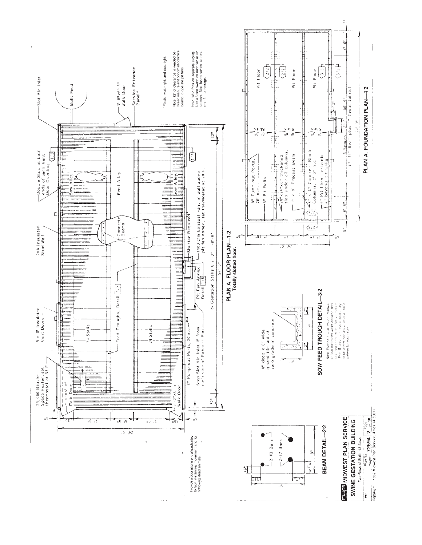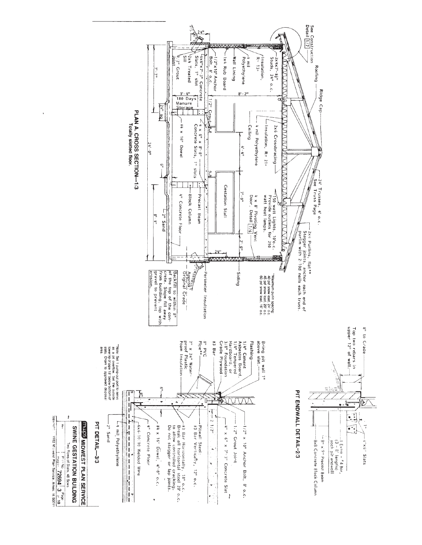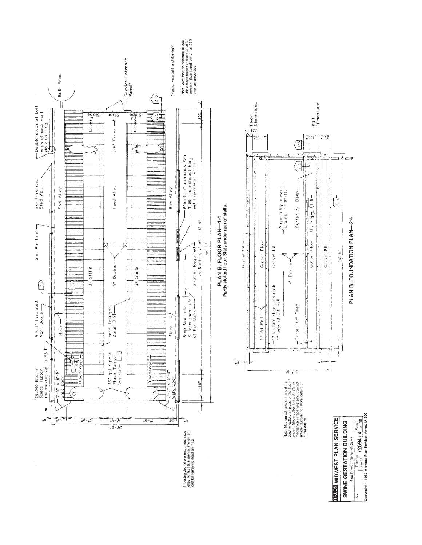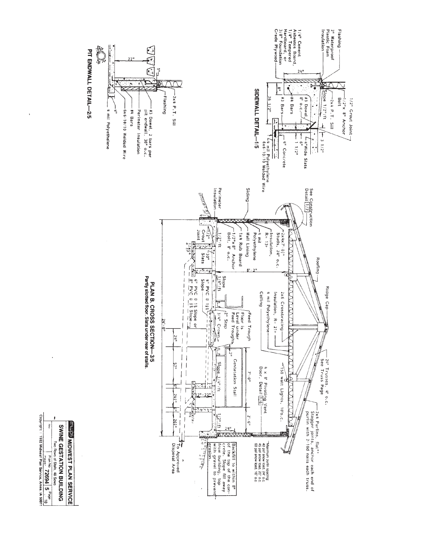

 $\ddot{\phantom{a}}$ 

 $\begin{array}{c|c|c|c|c} \hline & & & & \text{Plan} & \text{Diam} & \textbf{2694} & \textbf{5} & \text{Page} \\ \hline \text{Cyliptic} & & \text{The image} & \text{Pame Service, Amer} & \text{A. 50011} \\ \hline \end{array}$ 

Two Rows of Stalls, 48 Sows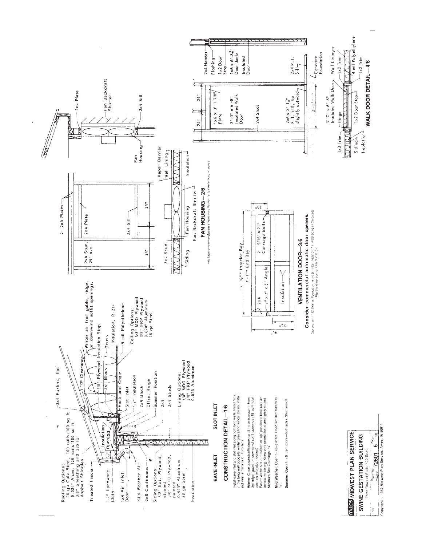

Copyright : 1982 Midwest Plan Service, Ames. IA 50011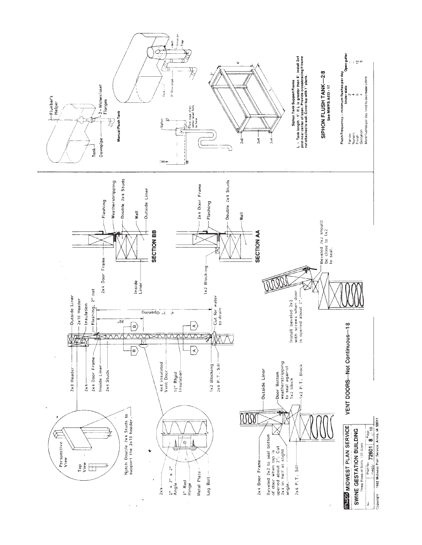